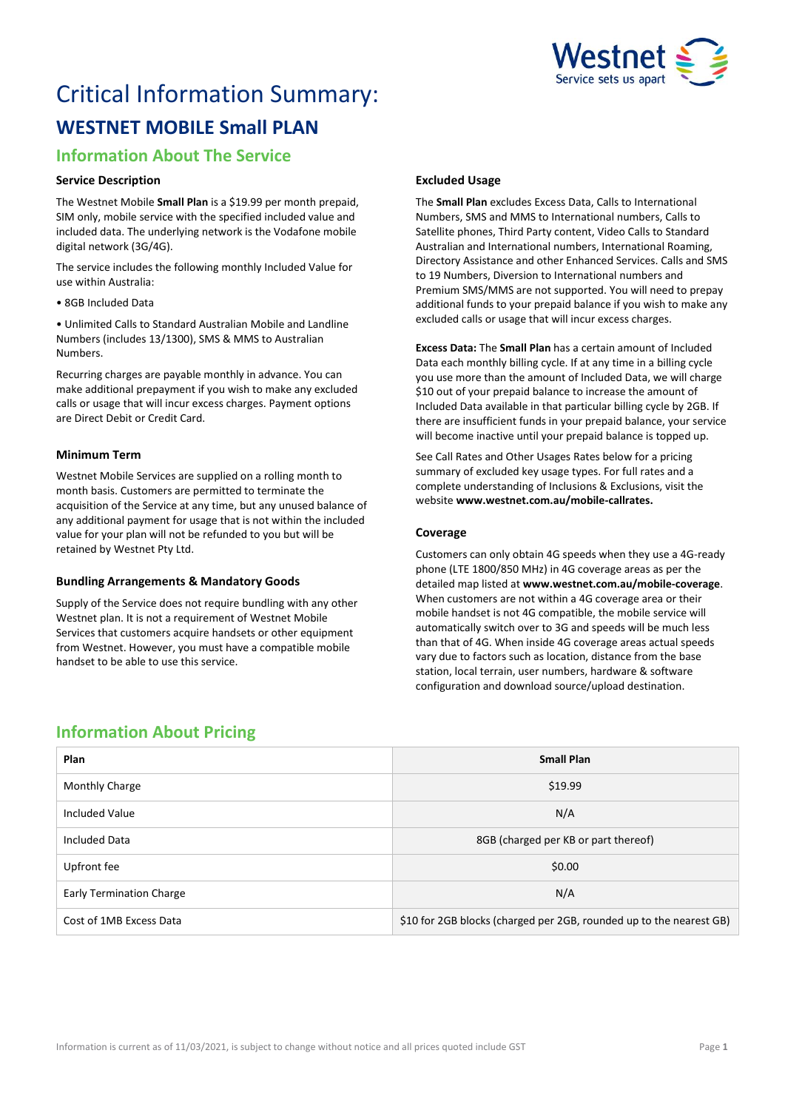

# Critical Information Summary: **WESTNET MOBILE Small PLAN**

# **Information About The Service**

# **Service Description**

The Westnet Mobile **Small Plan** is a \$19.99 per month prepaid, SIM only, mobile service with the specified included value and included data. The underlying network is the Vodafone mobile digital network (3G/4G).

The service includes the following monthly Included Value for use within Australia:

• 8GB Included Data

• Unlimited Calls to Standard Australian Mobile and Landline Numbers (includes 13/1300), SMS & MMS to Australian Numbers.

Recurring charges are payable monthly in advance. You can make additional prepayment if you wish to make any excluded calls or usage that will incur excess charges. Payment options are Direct Debit or Credit Card.

## **Minimum Term**

Westnet Mobile Services are supplied on a rolling month to month basis. Customers are permitted to terminate the acquisition of the Service at any time, but any unused balance of any additional payment for usage that is not within the included value for your plan will not be refunded to you but will be retained by Westnet Pty Ltd.

# **Bundling Arrangements & Mandatory Goods**

Supply of the Service does not require bundling with any other Westnet plan. It is not a requirement of Westnet Mobile Services that customers acquire handsets or other equipment from Westnet. However, you must have a compatible mobile handset to be able to use this service.

# **Excluded Usage**

The **Small Plan** excludes Excess Data, Calls to International Numbers, SMS and MMS to International numbers, Calls to Satellite phones, Third Party content, Video Calls to Standard Australian and International numbers, International Roaming, Directory Assistance and other Enhanced Services. Calls and SMS to 19 Numbers, Diversion to International numbers and Premium SMS/MMS are not supported. You will need to prepay additional funds to your prepaid balance if you wish to make any excluded calls or usage that will incur excess charges.

**Excess Data:** The **Small Plan** has a certain amount of Included Data each monthly billing cycle. If at any time in a billing cycle you use more than the amount of Included Data, we will charge \$10 out of your prepaid balance to increase the amount of Included Data available in that particular billing cycle by 2GB. If there are insufficient funds in your prepaid balance, your service will become inactive until your prepaid balance is topped up.

See Call Rates and Other Usages Rates below for a pricing summary of excluded key usage types. For full rates and a complete understanding of Inclusions & Exclusions, visit the website **[www.westnet.com.au/mobile-callrates.](http://www.westnet.com.au/mobile-callrates)**

## **Coverage**

Customers can only obtain 4G speeds when they use a 4G-ready phone (LTE 1800/850 MHz) in 4G coverage areas as per the detailed map listed at **[www.westnet.com.au/mobile-coverage](https://www.westnet.com.au/mobile-coverage)**. When customers are not within a 4G coverage area or their mobile handset is not 4G compatible, the mobile service will automatically switch over to 3G and speeds will be much less than that of 4G. When inside 4G coverage areas actual speeds vary due to factors such as location, distance from the base station, local terrain, user numbers, hardware & software configuration and download source/upload destination.

# **Information About Pricing**

| Plan                            | <b>Small Plan</b>                                                   |
|---------------------------------|---------------------------------------------------------------------|
| Monthly Charge                  | \$19.99                                                             |
| <b>Included Value</b>           | N/A                                                                 |
| <b>Included Data</b>            | 8GB (charged per KB or part thereof)                                |
| Upfront fee                     | \$0.00                                                              |
| <b>Early Termination Charge</b> | N/A                                                                 |
| Cost of 1MB Excess Data         | \$10 for 2GB blocks (charged per 2GB, rounded up to the nearest GB) |